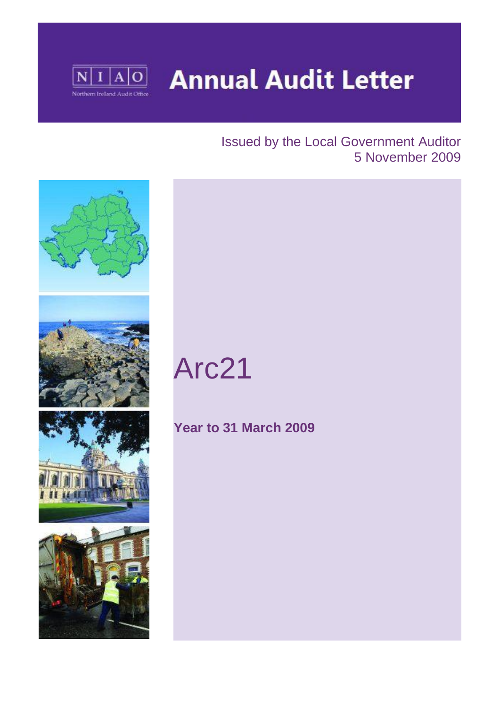

# **Annual Audit Letter**

### Issued by the Local Government Auditor 5 November 2009



# Arc21

## **Year to 31 March 2009**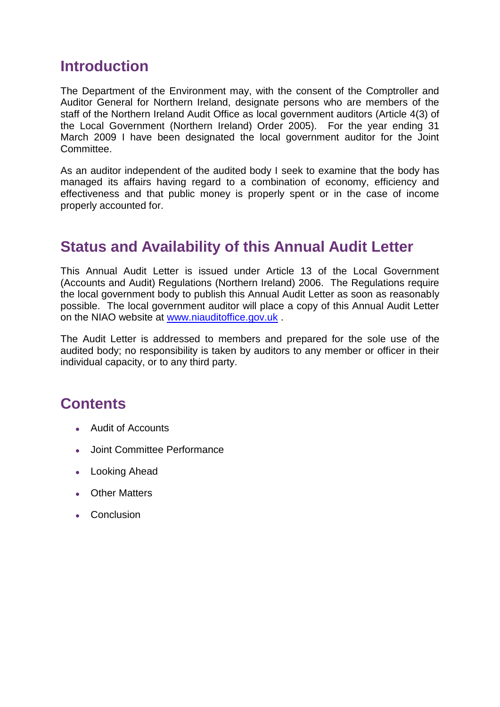## **Introduction**

The Department of the Environment may, with the consent of the Comptroller and Auditor General for Northern Ireland, designate persons who are members of the staff of the Northern Ireland Audit Office as local government auditors (Article 4(3) of the Local Government (Northern Ireland) Order 2005). For the year ending 31 March 2009 I have been designated the local government auditor for the Joint Committee.

As an auditor independent of the audited body I seek to examine that the body has managed its affairs having regard to a combination of economy, efficiency and effectiveness and that public money is properly spent or in the case of income properly accounted for.

## **Status and Availability of this Annual Audit Letter**

This Annual Audit Letter is issued under Article 13 of the Local Government (Accounts and Audit) Regulations (Northern Ireland) 2006. The Regulations require the local government body to publish this Annual Audit Letter as soon as reasonably possible. The local government auditor will place a copy of this Annual Audit Letter on the NIAO website at [www.niauditoffice.gov.uk](http://www.niauditoffice.gov.uk/) .

The Audit Letter is addressed to members and prepared for the sole use of the audited body; no responsibility is taken by auditors to any member or officer in their individual capacity, or to any third party.

## **Contents**

- Audit of Accounts
- Joint Committee Performance
- Looking Ahead
- Other Matters
- Conclusion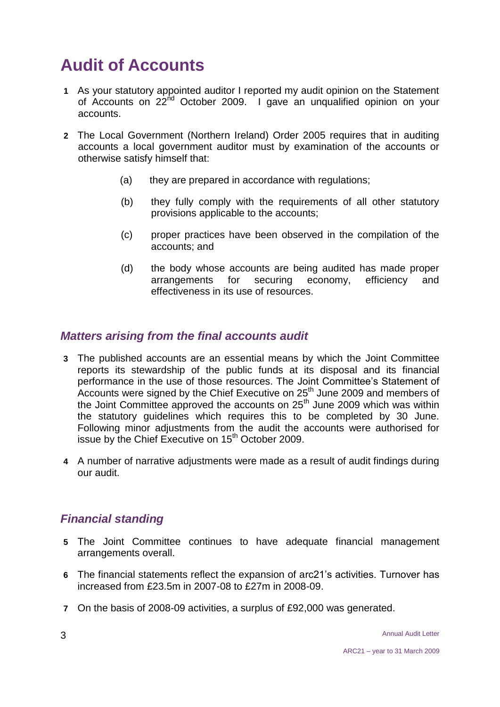# **Audit of Accounts**

- **1** As your statutory appointed auditor I reported my audit opinion on the Statement of Accounts on 22<sup>nd</sup> October 2009. I gave an unqualified opinion on your accounts.
- **2** The Local Government (Northern Ireland) Order 2005 requires that in auditing accounts a local government auditor must by examination of the accounts or otherwise satisfy himself that:
	- (a) they are prepared in accordance with regulations;
	- (b) they fully comply with the requirements of all other statutory provisions applicable to the accounts;
	- (c) proper practices have been observed in the compilation of the accounts; and
	- (d) the body whose accounts are being audited has made proper arrangements for securing economy, efficiency and effectiveness in its use of resources.

#### *Matters arising from the final accounts audit*

- **3** The published accounts are an essential means by which the Joint Committee reports its stewardship of the public funds at its disposal and its financial performance in the use of those resources. The Joint Committee's Statement of .<br>Accounts were signed by the Chief Executive on 25<sup>th</sup> June 2009 and members of the Joint Committee approved the accounts on  $25<sup>th</sup>$  June 2009 which was within the statutory guidelines which requires this to be completed by 30 June. Following minor adjustments from the audit the accounts were authorised for issue by the Chief Executive on 15<sup>th</sup> October 2009.
- **4** A number of narrative adjustments were made as a result of audit findings during our audit.

#### *Financial standing*

- **5** The Joint Committee continues to have adequate financial management arrangements overall.
- **6** The financial statements reflect the expansion of arc21's activities. Turnover has increased from £23.5m in 2007-08 to £27m in 2008-09.
- **7** On the basis of 2008-09 activities, a surplus of £92,000 was generated.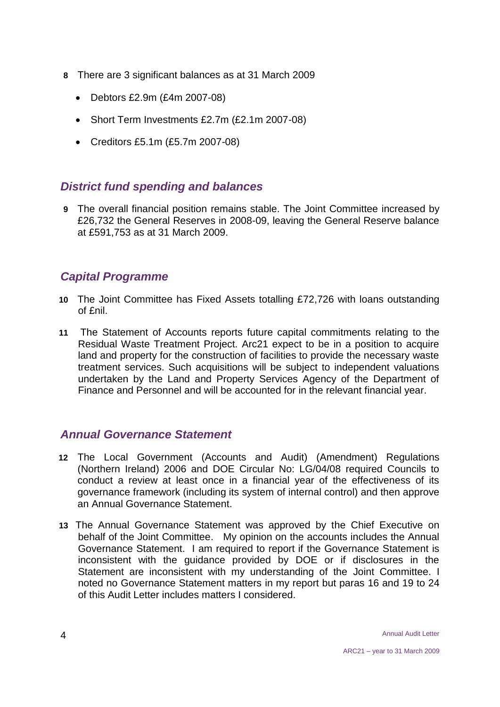- **8** There are 3 significant balances as at 31 March 2009
	- Debtors £2.9m (£4m 2007-08)
	- Short Term Investments £2.7m (£2.1m 2007-08)
	- Creditors £5.1m (£5.7m 2007-08)

#### *District fund spending and balances*

**9** The overall financial position remains stable. The Joint Committee increased by £26,732 the General Reserves in 2008-09, leaving the General Reserve balance at £591,753 as at 31 March 2009.

#### *Capital Programme*

- **10** The Joint Committee has Fixed Assets totalling £72,726 with loans outstanding of £nil.
- **11** The Statement of Accounts reports future capital commitments relating to the Residual Waste Treatment Project. Arc21 expect to be in a position to acquire land and property for the construction of facilities to provide the necessary waste treatment services. Such acquisitions will be subject to independent valuations undertaken by the Land and Property Services Agency of the Department of Finance and Personnel and will be accounted for in the relevant financial year.

#### *Annual Governance Statement*

- **12** The Local Government (Accounts and Audit) (Amendment) Regulations (Northern Ireland) 2006 and DOE Circular No: LG/04/08 required Councils to conduct a review at least once in a financial year of the effectiveness of its governance framework (including its system of internal control) and then approve an Annual Governance Statement.
- **13** The Annual Governance Statement was approved by the Chief Executive on behalf of the Joint Committee. My opinion on the accounts includes the Annual Governance Statement. I am required to report if the Governance Statement is inconsistent with the guidance provided by DOE or if disclosures in the Statement are inconsistent with my understanding of the Joint Committee. I noted no Governance Statement matters in my report but paras 16 and 19 to 24 of this Audit Letter includes matters I considered.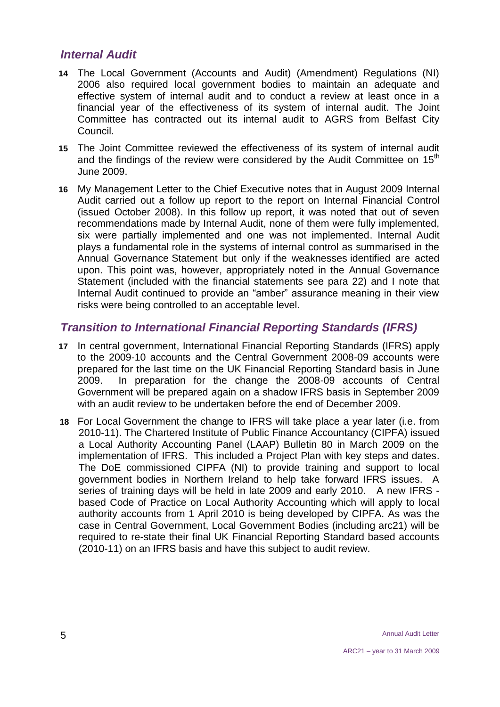#### *Internal Audit*

- **14** The Local Government (Accounts and Audit) (Amendment) Regulations (NI) 2006 also required local government bodies to maintain an adequate and effective system of internal audit and to conduct a review at least once in a financial year of the effectiveness of its system of internal audit. The Joint Committee has contracted out its internal audit to AGRS from Belfast City Council.
- **15** The Joint Committee reviewed the effectiveness of its system of internal audit and the findings of the review were considered by the Audit Committee on  $15<sup>th</sup>$ June 2009.
- **16** My Management Letter to the Chief Executive notes that in August 2009 Internal Audit carried out a follow up report to the report on Internal Financial Control (issued October 2008). In this follow up report, it was noted that out of seven recommendations made by Internal Audit, none of them were fully implemented, six were partially implemented and one was not implemented. Internal Audit plays a fundamental role in the systems of internal control as summarised in the Annual Governance Statement but only if the weaknesses identified are acted upon. This point was, however, appropriately noted in the Annual Governance Statement (included with the financial statements see para 22) and I note that Internal Audit continued to provide an "amber" assurance meaning in their view risks were being controlled to an acceptable level.

#### *Transition to International Financial Reporting Standards (IFRS)*

- **17** In central government, International Financial Reporting Standards (IFRS) apply to the 2009-10 accounts and the Central Government 2008-09 accounts were prepared for the last time on the UK Financial Reporting Standard basis in June 2009. In preparation for the change the 2008-09 accounts of Central Government will be prepared again on a shadow IFRS basis in September 2009 with an audit review to be undertaken before the end of December 2009.
- **18** For Local Government the change to IFRS will take place a year later (i.e. from 2010-11). The Chartered Institute of Public Finance Accountancy (CIPFA) issued a Local Authority Accounting Panel (LAAP) Bulletin 80 in March 2009 on the implementation of IFRS. This included a Project Plan with key steps and dates. The DoE commissioned CIPFA (NI) to provide training and support to local government bodies in Northern Ireland to help take forward IFRS issues. A series of training days will be held in late 2009 and early 2010. A new IFRS based Code of Practice on Local Authority Accounting which will apply to local authority accounts from 1 April 2010 is being developed by CIPFA. As was the case in Central Government, Local Government Bodies (including arc21) will be required to re-state their final UK Financial Reporting Standard based accounts (2010-11) on an IFRS basis and have this subject to audit review.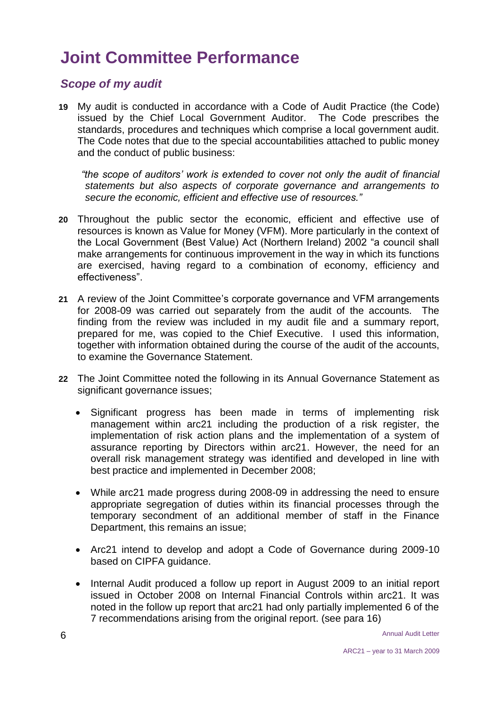# **Joint Committee Performance**

#### *Scope of my audit*

**19** My audit is conducted in accordance with a Code of Audit Practice (the Code) issued by the Chief Local Government Auditor. The Code prescribes the standards, procedures and techniques which comprise a local government audit. The Code notes that due to the special accountabilities attached to public money and the conduct of public business:

 *"the scope of auditors' work is extended to cover not only the audit of financial statements but also aspects of corporate governance and arrangements to secure the economic, efficient and effective use of resources."*

- **20** Throughout the public sector the economic, efficient and effective use of resources is known as Value for Money (VFM). More particularly in the context of the Local Government (Best Value) Act (Northern Ireland) 2002 "a council shall make arrangements for continuous improvement in the way in which its functions are exercised, having regard to a combination of economy, efficiency and effectiveness".
- **21** A review of the Joint Committee's corporate governance and VFM arrangements for 2008-09 was carried out separately from the audit of the accounts. The finding from the review was included in my audit file and a summary report, prepared for me, was copied to the Chief Executive. I used this information, together with information obtained during the course of the audit of the accounts, to examine the Governance Statement.
- **22** The Joint Committee noted the following in its Annual Governance Statement as significant governance issues;
	- Significant progress has been made in terms of implementing risk management within arc21 including the production of a risk register, the implementation of risk action plans and the implementation of a system of assurance reporting by Directors within arc21. However, the need for an overall risk management strategy was identified and developed in line with best practice and implemented in December 2008;
	- While arc21 made progress during 2008-09 in addressing the need to ensure appropriate segregation of duties within its financial processes through the temporary secondment of an additional member of staff in the Finance Department, this remains an issue;
	- Arc21 intend to develop and adopt a Code of Governance during 2009-10 based on CIPFA guidance.
	- Internal Audit produced a follow up report in August 2009 to an initial report issued in October 2008 on Internal Financial Controls within arc21. It was noted in the follow up report that arc21 had only partially implemented 6 of the 7 recommendations arising from the original report. (see para 16)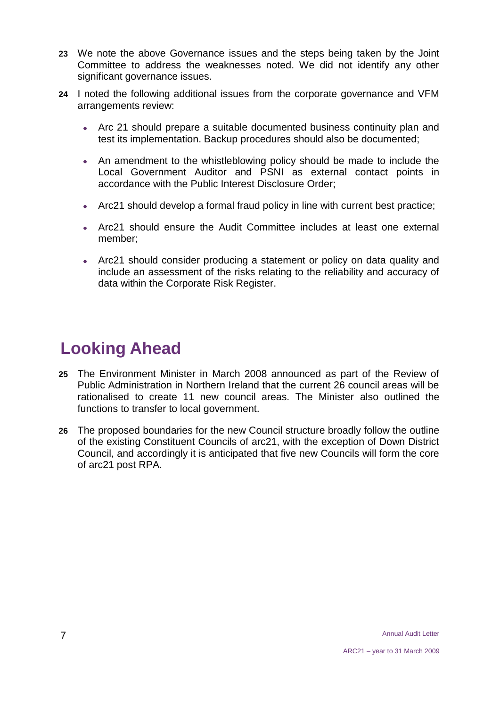- **23** We note the above Governance issues and the steps being taken by the Joint Committee to address the weaknesses noted. We did not identify any other significant governance issues.
- **24** I noted the following additional issues from the corporate governance and VFM arrangements review:
	- Arc 21 should prepare a suitable documented business continuity plan and test its implementation. Backup procedures should also be documented;
	- An amendment to the whistleblowing policy should be made to include the Local Government Auditor and PSNI as external contact points in accordance with the Public Interest Disclosure Order;
	- Arc21 should develop a formal fraud policy in line with current best practice;
	- Arc21 should ensure the Audit Committee includes at least one external member;
	- Arc21 should consider producing a statement or policy on data quality and include an assessment of the risks relating to the reliability and accuracy of data within the Corporate Risk Register.

# **Looking Ahead**

- **25** The Environment Minister in March 2008 announced as part of the Review of Public Administration in Northern Ireland that the current 26 council areas will be rationalised to create 11 new council areas. The Minister also outlined the functions to transfer to local government.
- **26** The proposed boundaries for the new Council structure broadly follow the outline of the existing Constituent Councils of arc21, with the exception of Down District Council, and accordingly it is anticipated that five new Councils will form the core of arc21 post RPA.